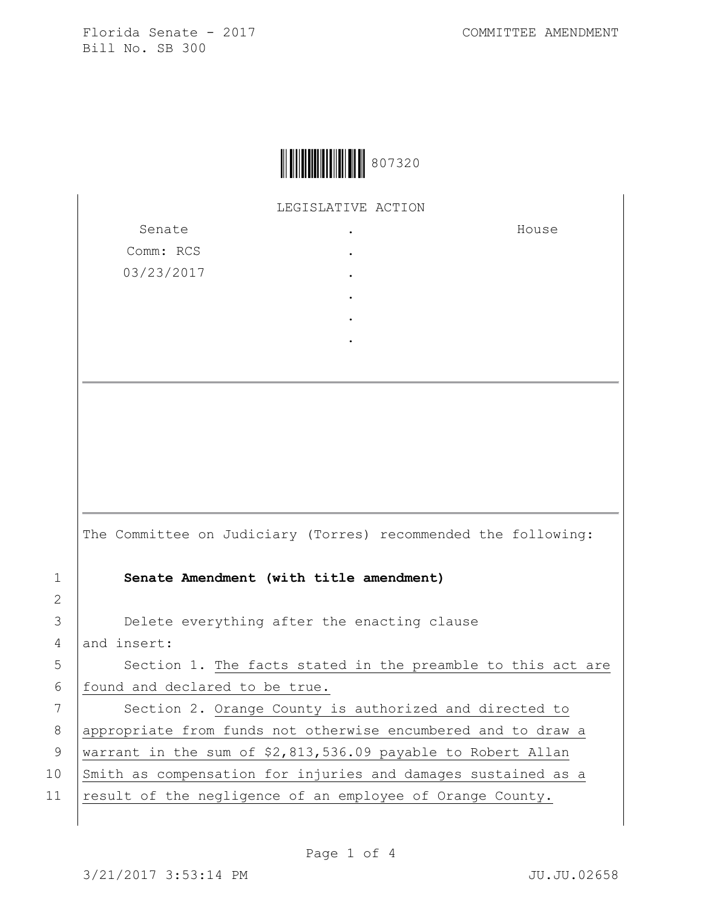

LEGISLATIVE ACTION

.

| Senate     | ٠ |
|------------|---|
| Comm: RCS  | ٠ |
| 03/23/2017 | ٠ |
|            | ٠ |
|            |   |

House

The Committee on Judiciary (Torres) recommended the following: 1 **Senate Amendment (with title amendment)** 3 **Delete everything after the enacting clause** 4 and insert: 5 | Section 1. The facts stated in the preamble to this act are 6 found and declared to be true. 7 | Section 2. Orange County is authorized and directed to 8 | appropriate from funds not otherwise encumbered and to draw a 9 | warrant in the sum of \$2,813,536.09 payable to Robert Allan 10 Smith as compensation for injuries and damages sustained as a

11 result of the negligence of an employee of Orange County.

2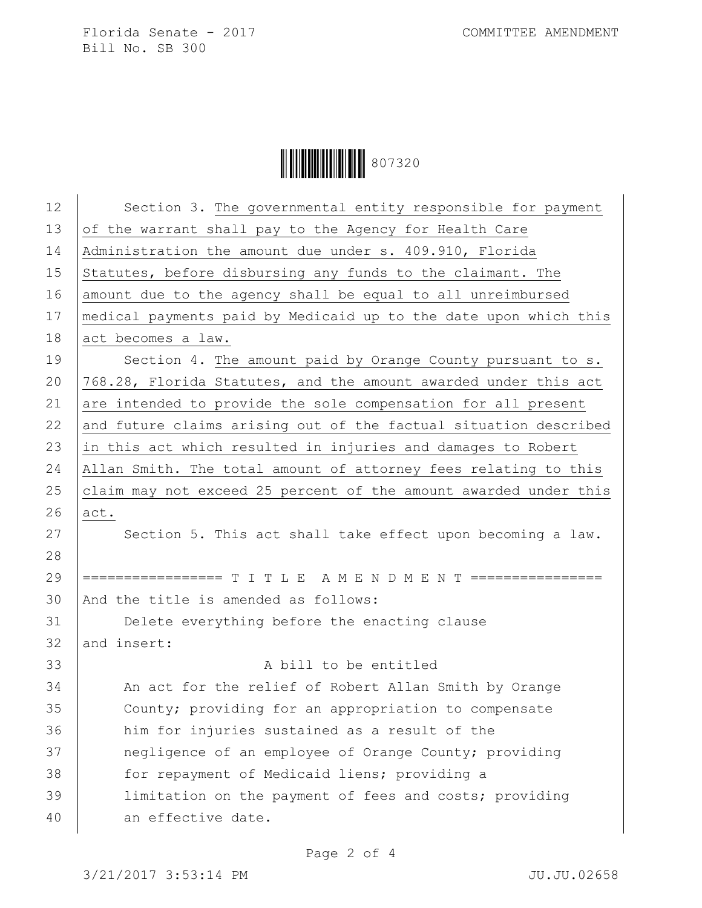**|| || || || || || || || || || || ||** 807320

| 12 | Section 3. The governmental entity responsible for payment       |
|----|------------------------------------------------------------------|
| 13 | of the warrant shall pay to the Agency for Health Care           |
| 14 | Administration the amount due under s. 409.910, Florida          |
| 15 | Statutes, before disbursing any funds to the claimant. The       |
| 16 | amount due to the agency shall be equal to all unreimbursed      |
| 17 | medical payments paid by Medicaid up to the date upon which this |
| 18 | act becomes a law.                                               |
| 19 | Section 4. The amount paid by Orange County pursuant to s.       |
| 20 | 768.28, Florida Statutes, and the amount awarded under this act  |
| 21 | are intended to provide the sole compensation for all present    |
| 22 | and future claims arising out of the factual situation described |
| 23 | in this act which resulted in injuries and damages to Robert     |
| 24 | Allan Smith. The total amount of attorney fees relating to this  |
| 25 | claim may not exceed 25 percent of the amount awarded under this |
| 26 | act.                                                             |
| 27 | Section 5. This act shall take effect upon becoming a law.       |
| 28 |                                                                  |
| 29 | ================= T I T L E A M E N D M E N T ================   |
| 30 | And the title is amended as follows:                             |
| 31 | Delete everything before the enacting clause                     |
| 32 | and insert:                                                      |
| 33 | A bill to be entitled                                            |
| 34 | An act for the relief of Robert Allan Smith by Orange            |
| 35 | County; providing for an appropriation to compensate             |
| 36 | him for injuries sustained as a result of the                    |
| 37 | negligence of an employee of Orange County; providing            |
| 38 | for repayment of Medicaid liens; providing a                     |
| 39 | limitation on the payment of fees and costs; providing           |
| 40 | an effective date.                                               |
|    |                                                                  |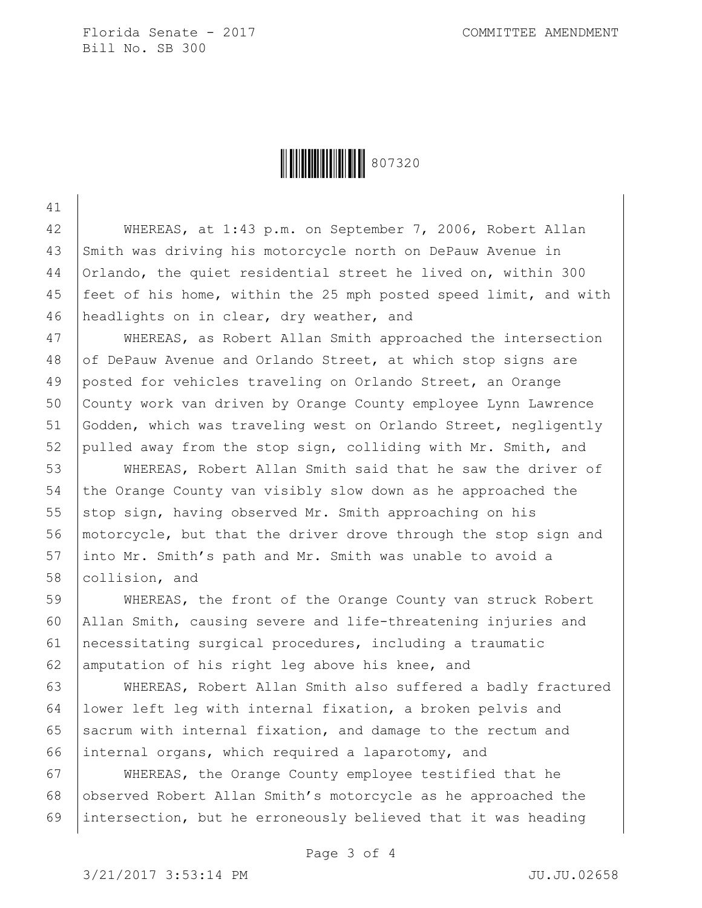41

Ì807320oÎ807320

42 WHEREAS, at 1:43 p.m. on September 7, 2006, Robert Allan 43 Smith was driving his motorcycle north on DePauw Avenue in 44 Orlando, the quiet residential street he lived on, within 300 45 feet of his home, within the 25 mph posted speed limit, and with 46 headlights on in clear, dry weather, and

 WHEREAS, as Robert Allan Smith approached the intersection 48 of DePauw Avenue and Orlando Street, at which stop signs are posted for vehicles traveling on Orlando Street, an Orange County work van driven by Orange County employee Lynn Lawrence Godden, which was traveling west on Orlando Street, negligently pulled away from the stop sign, colliding with Mr. Smith, and

53 WHEREAS, Robert Allan Smith said that he saw the driver of 54 the Orange County van visibly slow down as he approached the 55 stop sign, having observed Mr. Smith approaching on his 56 motorcycle, but that the driver drove through the stop sign and 57 into Mr. Smith's path and Mr. Smith was unable to avoid a 58 collision, and

 WHEREAS, the front of the Orange County van struck Robert Allan Smith, causing severe and life-threatening injuries and necessitating surgical procedures, including a traumatic 62 amputation of his right leg above his knee, and

 WHEREAS, Robert Allan Smith also suffered a badly fractured lower left leg with internal fixation, a broken pelvis and 65 sacrum with internal fixation, and damage to the rectum and internal organs, which required a laparotomy, and

67 WHEREAS, the Orange County employee testified that he 68 observed Robert Allan Smith's motorcycle as he approached the 69 intersection, but he erroneously believed that it was heading